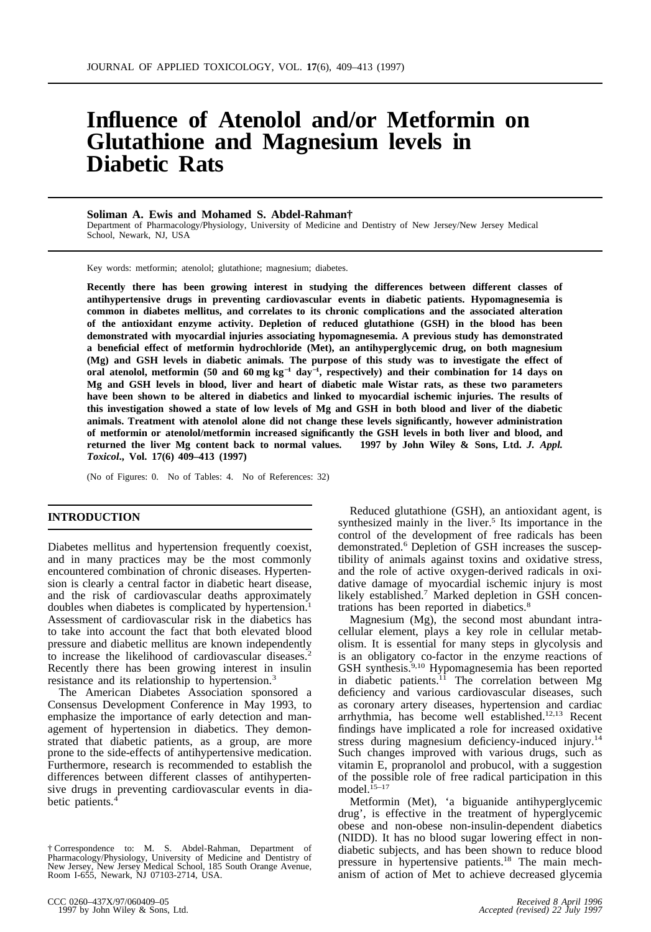# **Influence of Atenolol and/or Metformin on Glutathione and Magnesium levels in Diabetic Rats**

### **Soliman A. Ewis and Mohamed S. Abdel-Rahman†**

Department of Pharmacology/Physiology, University of Medicine and Dentistry of New Jersey/New Jersey Medical School, Newark, NJ, USA

Key words: metformin; atenolol; glutathione; magnesium; diabetes.

**Recently there has been growing interest in studying the differences between different classes of antihypertensive drugs in preventing cardiovascular events in diabetic patients. Hypomagnesemia is common in diabetes mellitus, and correlates to its chronic complications and the associated alteration of the antioxidant enzyme activity. Depletion of reduced glutathione (GSH) in the blood has been demonstrated with myocardial injuries associating hypomagnesemia. A previous study has demonstrated a beneficial effect of metformin hydrochloride (Met), an antihyperglycemic drug, on both magnesium (Mg) and GSH levels in diabetic animals. The purpose of this study was to investigate the effect of oral atenolol, metformin (50 and 60 mg kg**<sup>−</sup>**<sup>1</sup> day**<sup>−</sup>**<sup>1</sup> , respectively) and their combination for 14 days on Mg and GSH levels in blood, liver and heart of diabetic male Wistar rats, as these two parameters have been shown to be altered in diabetics and linked to myocardial ischemic injuries. The results of this investigation showed a state of low levels of Mg and GSH in both blood and liver of the diabetic animals. Treatment with atenolol alone did not change these levels significantly, however administration of metformin or atenolol/metformin increased significantly the GSH levels in both liver and blood, and returned the liver Mg content back to normal values. 1997 by John Wiley & Sons, Ltd.** *J. Appl. Toxicol***., Vol. 17(6) 409–413 (1997)**

(No of Figures: 0. No of Tables: 4. No of References: 32)

encountered combination of chronic diseases. Hypertenand the risk of cardiovascular deaths approximately likely established.<sup>7</sup> Marked depletion in GSH concendoubles when diabetes is complicated by hypertension.<sup>1</sup> trations has been reported in diabetics.<sup>8</sup> Assessment of cardiovascular risk in the diabetics has Magnesium (Mg), the second most abundant intra-<br>to take into account the fact that both elevated blood cellular element, plays a key role in cellular metabpressure and diabetic mellitus are known independently to increase the likelihood of cardiovascular diseases.<sup>2</sup>

Consensus Development Conference in May 1993, to agement of hypertension in diabetics. They demon- findings have implicated a role for increased oxidative Furthermore, research is recommended to establish the differences between different classes of antihypertensive drugs in preventing cardiovascular events in dia-

**INTRODUCTION** Reduced glutathione (GSH), an antioxidant agent, is synthesized mainly in the liver.<sup>5</sup> Its importance in the control of the development of free radicals has been Diabetes mellitus and hypertension frequently coexist, demonstrated.<sup>6</sup> Depletion of GSH increases the suscep-<br>and in many practices may be the most commonly tibility of animals against toxins and oxidative stress, tibility of animals against toxins and oxidative stress, and the role of active oxygen-derived radicals in oxision is clearly a central factor in diabetic heart disease, dative damage of myocardial ischemic injury is most

cellular element, plays a key role in cellular metab-<br>olism. It is essential for many steps in glycolysis and is an obligatory co-factor in the enzyme reactions of Recently there has been growing interest in insulin GSH synthesis.<sup>9,10</sup> Hypomagnesemia has been reported resistance and its relationship to hypertension.<sup>3</sup> in diabetic patients.<sup>11</sup> The correlation between Mg in diabetic patients.<sup>11</sup> The correlation between Mg deficiency and various cardiovascular diseases, such The American Diabetes Association sponsored a deficiency and various cardiovascular diseases, such posensus Development Conference in May 1993, to as coronary artery diseases, hypertension and cardiac emphasize the importance of early detection and man- arrhythmia, has become well established.<sup>12,13</sup> Recent strated that diabetic patients, as a group, are more stress during magnesium deficiency-induced injury.<sup>14</sup> prone to the side-effects of antihypertensive medication. Such changes improved with various drugs, such as prone to the side-effects of antihypertensive medication. Such changes improved with various drugs, such as Furthermore, research is recommended to establish the vitamin E, propranolol and probucol, with a suggestion of the possible role of free radical participation in this model.<sup>15-17</sup>

betic patients.<sup>4</sup> Metformin (Met), 'a biguanide antihyperglycemic drug', is effective in the treatment of hyperglycemic obese and non-obese non-insulin-dependent diabetics (NIDD). It has no blood sugar lowering effect in non- † Correspondence to: M. S. Abdel-Rahman, Department of diabetic subjects, and has been shown to reduce blood<br>Pharmacology/Physiology, University of Medicine and Dentistry of pressure in hypertensive patients.<sup>18</sup> The main Room I-655, Newark, NJ 07103-2714, USA. **Analyze Strategy Article and Strategy** anism of action of Met to achieve decreased glycemia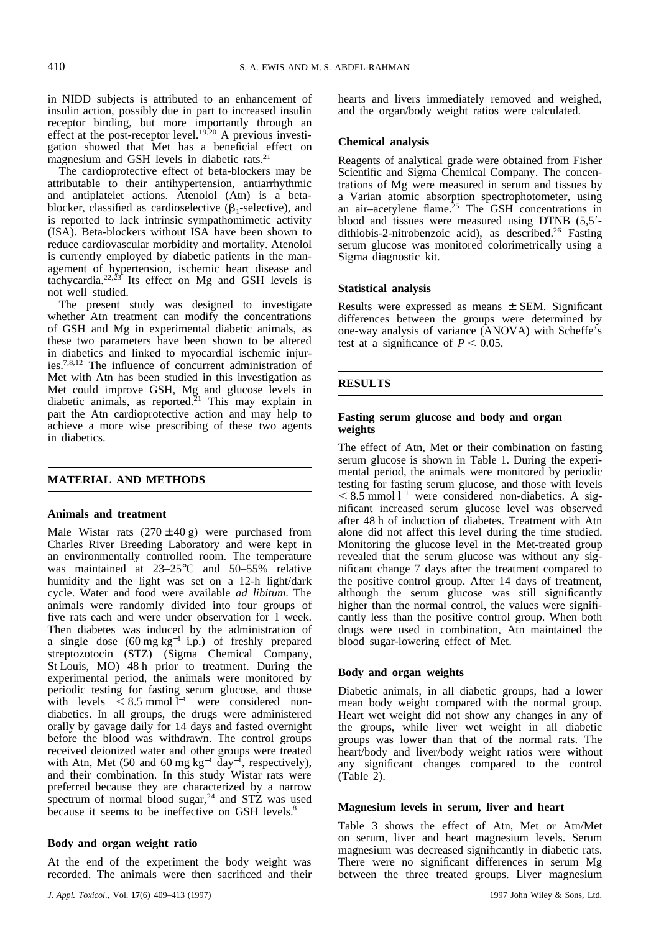in NIDD subjects is attributed to an enhancement of hearts and livers immediately removed and weighed, insulin action, possibly due in part to increased insulin and the organ/body weight ratios were calculated. receptor binding, but more importantly through an effect at the post-receptor level.<sup>19,20</sup> A previous investieffect at the post-receptor level.19,20 A previous investi- **Chemical analysis** gation showed that Met has a beneficial effect on

The cardioprotective effect of beta-blockers may be<br>attributions of Mg were measured in serum and tissues by<br>by the concen-<br>trations of Mg were measured in serum and tissues by attributable to their antihypertension, antiarrhythmic trations of Mg were measured in serum and tissues by and antiplatelet actions. Atenolol (Atn) is a beta- a Varian atomic absorption spectrophotometer, using blocker, classified as cardioselective ( $\beta_1$ -selective), and air-acetylene flame.<sup>25</sup> The GSH concentrations in blocker, classified as cardioselective ( $\beta_1$ -selective), and an air-acetylene flame.<sup>25</sup> The GSH concentrations in is reported to lack intrinsic sympathomimetic activity blood and tissues were measured using DTNB (5,5'-(ISA). Beta-blockers without ISA have been shown to dithiobis-2-nitrobenzoic acid), as described.<sup>26</sup> Fasting reduce cardiovascular morbidity and mortality. Atenolol serum glucose was monitored colorimetrically using a is currently employed by diabetic patients in the man- Sigma diagnostic kit. agement of hypertension, ischemic heart disease and tachycardia.<sup>22,23</sup> Its effect on Mg and GSH levels is **Statistical analysis** not well studied.

The present study was designed to investigate<br>whether Atn treatment can modify the concentrations<br>of GSH and Mg in experimental diabetic animals, as<br>these two parameters have been shown to be altered<br>the at a significance in diabetics and linked to myocardial ischemic injuries.7,8,12 The influence of concurrent administration of Met with Atn has been studied in this investigation as<br>Met could improve GSH, Mg and glucose levels in<br>**RESULTS** diabetic animals, as reported.<sup>21</sup> This may explain in part the Atn cardioprotective action and may help to **Fasting serum glucose and body and organ** achieve a more wise prescribing of these two agents **weights** in diabetics.

Charles River Breeding Laboratory and were kept in Monitoring the glucose level in the Met-treated group an environmentally controlled room. The temperature revealed that the serum glucose was without any sigwas maintained at 23–25°C and 50–55% relative inficant change 7 days after the treatment compared to humidity and the light was set on a 12-h light/dark the positive control group. After 14 days of treatment, cycle. Water and food were available *ad libitum*. The although the serum glucose was still significantly animals were randomly divided into four groups of higher than the normal control, the values were signififive rats each and were under observation for 1 week. cantly less than the positive control group. When both Then diabetes was induced by the administration of drugs were used in combination, Atn maintained the a single dose (60 mg kg<sup>−</sup><sup>1</sup> i.p.) of freshly prepared blood sugar-lowering effect of Met. streptozotocin (STZ) (Sigma Chemical Company, St Louis, MO) 48 h prior to treatment. During the **Body and organ weights** experimental period, the animals were monitored by periodic testing for fasting serum glucose, and those Diabetic animals, in all diabetic groups, had a lower with levels  $\leq 8.5$  mmol  $\bar{l}^{-1}$  were considered non-<br>diabetics. In all groups, the drugs were administered Heart wet weight did not show any changes in any of diabetics. In all groups, the drugs were administered Heart wet weight did not show any changes in any of orally by gavage daily for 14 days and fasted overnight the groups, while liver wet weight in all diabetic orally by gavage daily for 14 days and fasted overnight the groups, while liver wet weight in all diabetic before the blood was withdrawn. The control groups sy as lower than that of the normal rats. The received deionized water and other groups were treated heart/body and liver/body weight ratios were without with Atn, Met (50 and 60 mg kg<sup>-1</sup> day<sup>-1</sup>, respectively), and their combination. In this study Wistar rats were (Table 2). preferred because they are characterized by a narrow spectrum of normal blood sugar, $24$  and STZ was used **Magnesium levels in serum, liver and heart** because it seems to be ineffective on GSH levels.<sup>8</sup> Magnesium levels in serum, liver and heart

recorded. The animals were then sacrificed and their between the three treated groups. Liver magnesium

magnesium and GSH levels in diabetic rats.<sup>21</sup> Reagents of analytical grade were obtained from Fisher<br>The cardioprotective effect of beta-blockers may be<br>Scientific and Sigma Chemical Company. The concen-

The effect of Atn, Met or their combination on fasting serum glucose is shown in Table 1. During the experi-**MATERIAL AND METHODS** mental period, the animals were monitored by periodic testing for fasting serum glucose, and those with levels  $< 8.5$  mmol l<sup>−1</sup> were considered non-diabetics. A sig-**Animals and treatment** increased serum glucose level was observed<br>Male Wistar rats (270 ± 40 g) were purchased from alone did not affect this level during the time studied. Male Wistar rats  $(270 \pm 40 \text{ g})$  were purchased from alone did not affect this level during the time studied.<br>Charles River Breeding Laboratory and were kept in Monitoring the glucose level in the Met-treated group revealed that the serum glucose was without any sigalthough the serum glucose was still significantly

groups was lower than that of the normal rats. The any significant changes compared to the control

Table 3 shows the effect of Atn, Met or Atn/Met **Body and organ weight ratio** on serum, liver and heart magnesium levels. Serum magnesium was decreased significantly in diabetic rats. At the end of the experiment the body weight was There were no significant differences in serum Mg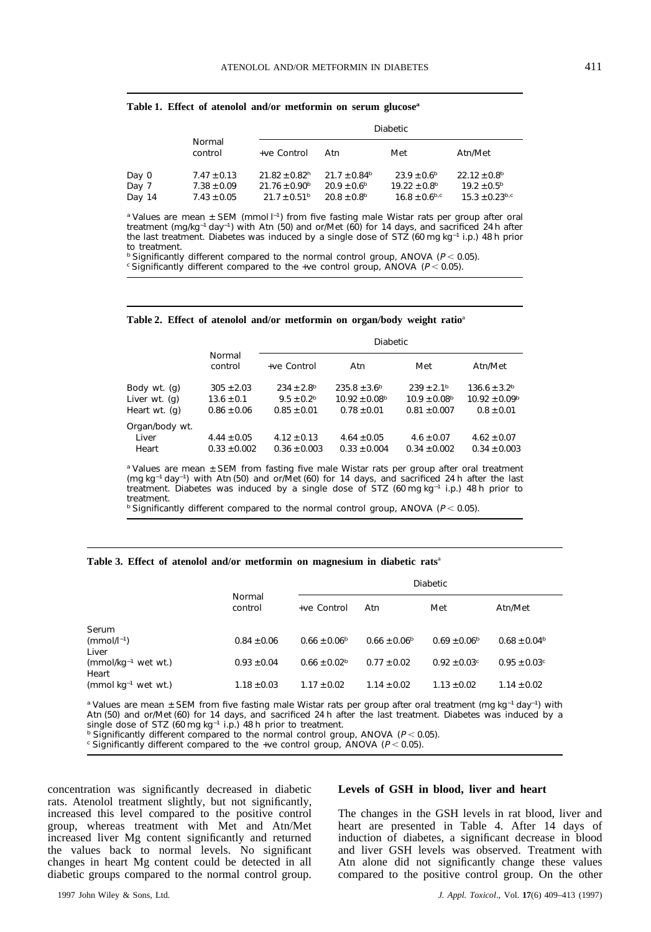|        |                   | <b>Diabetic</b>               |                              |                         |                              |  |  |  |  |
|--------|-------------------|-------------------------------|------------------------------|-------------------------|------------------------------|--|--|--|--|
|        | Normal<br>control | +ve Control                   | Atn                          | Met                     | Atn/Met                      |  |  |  |  |
| Day 0  | $7.47 \pm 0.13$   | $21.82 \pm 0.82$ <sup>h</sup> | $21.7 \pm 0.84$ <sup>b</sup> | $23.9 \pm 0.6^{\circ}$  | $22.12 \pm 0.8$ <sup>b</sup> |  |  |  |  |
| Day 7  | $7.38 \pm 0.09$   | $21.76 \pm 0.90^{\rm b}$      | $20.9 \pm 0.6^{\rm b}$       | $19.22 \pm 0.8^{\rm b}$ | $19.2 \pm 0.5^{\rm b}$       |  |  |  |  |
| Day 14 | $7.43 \pm 0.05$   | $21.7 \pm 0.51^{\circ}$       | $20.8 \pm 0.8^{\rm b}$       | $16.8 \pm 0.6^{b,c}$    | $15.3 \pm 0.23^{b,c}$        |  |  |  |  |

**Table 1. Effect of atenolol and/or metformin on serum glucosea**

<sup>a</sup> Values are mean ± SEM (mmol I<sup>-1</sup>) from five fasting male Wistar rats per group after oral treatment (mg/kg<sup>-1</sup> day<sup>-1</sup>) with Atn (50) and or/Met (60) for 14 days, and sacrificed 24 h after the last treatment. Diabetes was induced by a single dose of STZ (60 mg kg<sup>−</sup><sup>1</sup> i.p.) 48 h prior to treatment.

<sup>b</sup> Significantly different compared to the normal control group, ANOVA ( $P < 0.05$ ). c Significantly different compared to the +ve control group, ANOVA ( $P < 0.05$ ).

| Table 2. Effect of atenolol and/or metformin on organ/body weight ratio <sup>a</sup> |  |  |  |  |  |  |  |  |  |  |
|--------------------------------------------------------------------------------------|--|--|--|--|--|--|--|--|--|--|
|--------------------------------------------------------------------------------------|--|--|--|--|--|--|--|--|--|--|

|                                                |                                                     |                                                                        | <b>Diabetic</b>                                                             |                                                                           |                                                                      |
|------------------------------------------------|-----------------------------------------------------|------------------------------------------------------------------------|-----------------------------------------------------------------------------|---------------------------------------------------------------------------|----------------------------------------------------------------------|
|                                                | Normal<br>control                                   | +ve Control                                                            | Atn                                                                         | Met                                                                       | Atn/Met                                                              |
| Body wt. (g)<br>Liver wt. (g)<br>Heart wt. (g) | $305 \pm 2.03$<br>$13.6 \pm 0.1$<br>$0.86 \pm 0.06$ | $234 \pm 2.8$ <sup>b</sup><br>$9.5 \pm 0.2^{\rm b}$<br>$0.85 \pm 0.01$ | $235.8 \pm 3.6^{\circ}$<br>$10.92 \pm 0.08$ <sup>b</sup><br>$0.78 \pm 0.01$ | $239 \pm 2.1^{\rm b}$<br>$10.9 \pm 0.08$ <sup>b</sup><br>$0.81 \pm 0.007$ | $136.6 \pm 3.2^b$<br>$10.92 \pm 0.09$ <sup>b</sup><br>$0.8 \pm 0.01$ |
| Organ/body wt.<br>Liver<br>Heart               | $4.44 \pm 0.05$<br>$0.33 \pm 0.002$                 | $4.12 \pm 0.13$<br>$0.36 \pm 0.003$                                    | $4.64 \pm 0.05$<br>$0.33 \pm 0.004$                                         | $4.6 \pm 0.07$<br>$0.34 \pm 0.002$                                        | $4.62 \pm 0.07$<br>$0.34 \pm 0.003$                                  |

<sup>a</sup> Values are mean ± SEM from fasting five male Wistar rats per group after oral treatment (mg kg<sup>−</sup><sup>1</sup> day<sup>−</sup><sup>1</sup> ) with Atn (50) and or/Met (60) for 14 days, and sacrificed 24 h after the last treatment. Diabetes was induced by a single dose of STZ (60 mg kg<sup>−</sup><sup>1</sup> i.p.) 48 h prior to treatment.

 $b$  Significantly different compared to the normal control group, ANOVA ( $P < 0.05$ ).

### **Table 3. Effect of atenolol and/or metformin on magnesium in diabetic rats**<sup>a</sup>

|                                   |                   | <b>Diabetic</b>         |                         |                         |                         |  |  |  |
|-----------------------------------|-------------------|-------------------------|-------------------------|-------------------------|-------------------------|--|--|--|
|                                   | Normal<br>control | $+ve$ Control           | Atn                     | Met                     | Atn/Met                 |  |  |  |
| Serum                             |                   |                         |                         |                         |                         |  |  |  |
| $(mmol/l^{-1})$<br>Liver          | $0.84 \pm 0.06$   | $0.66 \pm 0.06^{\circ}$ | $0.66 \pm 0.06^{\circ}$ | $0.69 \pm 0.06^{\rm b}$ | $0.68 \pm 0.04^{\rm b}$ |  |  |  |
| $(mmol/kg^{-1}$ wet wt.)<br>Heart | $0.93 \pm 0.04$   | $0.66 \pm 0.02$         | $0.77 \pm 0.02$         | $0.92 \pm 0.03$ c       | $0.95 \pm 0.03$ c       |  |  |  |
| $(mmol$ kg <sup>-1</sup> wet wt.) | $1.18 \pm 0.03$   | $1.17 \pm 0.02$         | $1.14 \pm 0.02$         | $1.13 \pm 0.02$         | $1.14 \pm 0.02$         |  |  |  |

<sup>a</sup> Values are mean ± SEM from five fasting male Wistar rats per group after oral treatment (mg kg<sup>-1</sup> day<sup>-1</sup>) with Atn (50) and or/Met (60) for 14 days, and sacrificed 24 h after the last treatment. Diabetes was induced by a single dose of STZ (60 mg kg<sup>-1</sup> i.p.) 48 h prior to treatment.

<sup>b</sup> Significantly different compared to the normal control group, ANOVA ( $P < 0.05$ ). c Significantly different compared to the +ve control group, ANOVA ( $P < 0.05$ ).

concentration was significantly decreased in diabetic **Levels of GSH in blood, liver and heart** rats. Atenolol treatment slightly, but not significantly, increased this level compared to the positive control The changes in the GSH levels in rat blood, liver and group, whereas treatment with Met and Atn/Met heart are presented in Table 4. After 14 days of increased liver Mg content significantly and returned induction of diabetes, a significant decrease in blood the values back to normal levels. No significant and liver GSH levels was observed. Treatment with changes in heart Mg content could be detected in all Atn alone did not significantly change these values

Atn alone did not significantly change these values diabetic groups compared to the normal control group. compared to the positive control group. On the other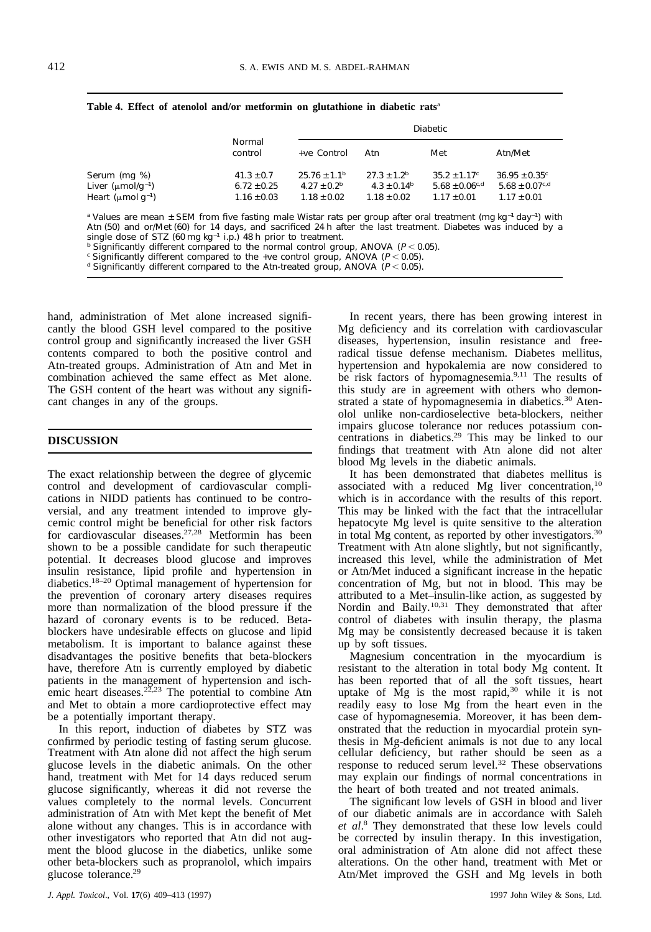|  |  |               | Table 4. Effect of atenolol and/or metformin on glutathione in diabetic rats <sup>a</sup> |        |
|--|--|---------------|-------------------------------------------------------------------------------------------|--------|
|  |  | <b>Normal</b> |                                                                                           | Diabet |
|  |  |               |                                                                                           |        |

|                                     |                   | <b>Diabetic</b>              |                             |                                |                            |  |  |  |
|-------------------------------------|-------------------|------------------------------|-----------------------------|--------------------------------|----------------------------|--|--|--|
|                                     | Normal<br>control | +ve Control                  | Atn                         | Met                            | Atn/Met                    |  |  |  |
| Serum (mg %)                        | $41.3 \pm 0.7$    | $25.76 \pm 1.1$ <sup>b</sup> | $27.3 \pm 1.2$ <sup>b</sup> | $35.2 \pm 1.17$ °              | $36.95 \pm 0.35^{\circ}$   |  |  |  |
| Liver ( $\mu$ mol/g <sup>-1</sup> ) | $6.72 \pm 0.25$   | $4.27 \pm 0.2^{\rm b}$       | $4.3 \pm 0.14^{\rm b}$      | $5.68 \pm 0.06$ <sup>c,d</sup> | $5.68 \pm 0.07^{\rm c, d}$ |  |  |  |
| Heart (µmol q $^{-1}$ )             | $1.16 \pm 0.03$   | $1.18 \pm 0.02$              | $1.18 \pm 0.02$             | $1.17 \pm 0.01$                | $1.17 \pm 0.01$            |  |  |  |

<sup>a</sup> Values are mean ± SEM from five fasting male Wistar rats per group after oral treatment (mg kg<sup>-1</sup> day<sup>-1</sup>) with Atn (50) and or/Met (60) for 14 days, and sacrificed 24 h after the last treatment. Diabetes was induced by a single dose of STZ (60 mg kg<sup>-1</sup> i.p.) 48 h prior to treatment.

<sup>b</sup> Significantly different compared to the normal control group, ANOVA ( $P < 0.05$ ).<br>
<sup>b</sup> Significantly different compared to the +ve control group, ANOVA ( $P < 0.05$ ).<br>
<sup>d</sup> Significantly different compared to the Atn-trea

hand, administration of Met alone increased signifi-<br>In recent years, there has been growing interest in cantly the blood GSH level compared to the positive Mg deficiency and its correlation with cardiovascular control group and significantly increased the liver GSH diseases, hypertension, insulin resistance and freecontents compared to both the positive control and radical tissue defense mechanism. Diabetes mellitus, Atn-treated groups. Administration of Atn and Met in hypertension and hypokalemia are now considered to combination achieved the same effect as Met alone. be risk factors of hypomagnesemia.<sup>9,11</sup> The results of The GSH content of the heart was without any signifi-<br>this study are in agreement with others who demon-The GSH content of the heart was without any significant changes in any of the groups. The strated a state of hypomagnesemia in diabetics.<sup>30</sup> Aten-

The exact relationship between the degree of glycemic It has been demonstrated that diabetes mellitus is control and development of cardiovascular compli-<br>associated with a reduced Mg liver concentration,<sup>10</sup> cations in NIDD patients has continued to be contro- which is in accordance with the results of this report. versial, and any treatment intended to improve gly- This may be linked with the fact that the intracellular cemic control might be beneficial for other risk factors hepatocyte Mg level is quite sensitive to the alteration for cardiovascular diseases.<sup>27,28</sup> Metformin has been in total Mg content, as reported by other investigators.<sup>30</sup> shown to be a possible candidate for such therapeutic Treatment with Atn alone slightly, but not significantly, potential. It decreases blood glucose and improves increased this level, while the administration of Met insulin resistance, lipid profile and hypertension in or Atn/Met induced a significant increase in the hepatic diabetics.<sup>18–20</sup> Optimal management of hypertension for concentration of Mg, but not in blood. This may be the prevention of coronary artery diseases requires attributed to a Met–insulin-like action, as suggested by more than normalization of the blood pressure if the Nordin and Baily.<sup>10,31</sup> They demonstrated that after more than normalization of the blood pressure if the hazard of coronary events is to be reduced. Beta-<br>blockers have undesirable effects on glucose and lipid Mg may be consistently decreased because it is taken blockers have undesirable effects on glucose and lipid metabolism. It is important to balance against these up by soft tissues.<br>
disadvantages the positive benefits that beta-blockers Magnesium concentration in the myocardium is disadvantages the positive benefits that beta-blockers have, therefore Atn is currently employed by diabetic resistant to the alteration in total body Mg content. It patients in the management of hypertension and isch-<br>has been reported that of all the soft tissues, heart patients in the management of hypertension and isch-<br>emic heart diseases.<sup>22,23</sup> The potential to combine Atn uptake of Mg is the most rapid,<sup>30</sup> while it is not and Met to obtain a more cardioprotective effect may readily easy to lose Mg from the heart even in the

confirmed by periodic testing of fasting serum glucose. thesis in Mg-deficient animals is not due to any local glucose levels in the diabetic animals. On the other response to reduced serum level.<sup>32</sup> These observations hand, treatment with Met for 14 days reduced serum may explain our findings of normal concentrations in glucose significantly, whereas it did not reverse the the heart of both treated and not treated animals. values completely to the normal levels. Concurrent The significant low levels of GSH in blood and liver administration of Atn with Met kept the benefit of Met of our diabetic animals are in accordance with Saleh alone without any changes. This is in accordance with other investigators who reported that Atn did not aug- be corrected by insulin therapy. In this investigation, ment the blood glucose in the diabetics, unlike some oral administration of Atn alone did not affect these

olol unlike non-cardioselective beta-blockers, neither impairs glucose tolerance nor reduces potassium con-**DISCUSSION** centrations in diabetics.<sup>29</sup> This may be linked to our findings that treatment with Atn alone did not alter blood Mg levels in the diabetic animals.

uptake of Mg is the most rapid, $30$  while it is not be a potentially important therapy. The case of hypomagnesemia. Moreover, it has been dem-In this report, induction of diabetes by STZ was onstrated that the reduction in myocardial protein syncellular deficiency, but rather should be seen as a may explain our findings of normal concentrations in

et al.<sup>8</sup> They demonstrated that these low levels could other beta-blockers such as propranolol, which impairs alterations. On the other hand, treatment with Met or glucose tolerance.<sup>29</sup> Atn/Met improved the GSH and Mg levels in both Atn/Met improved the GSH and Mg levels in both